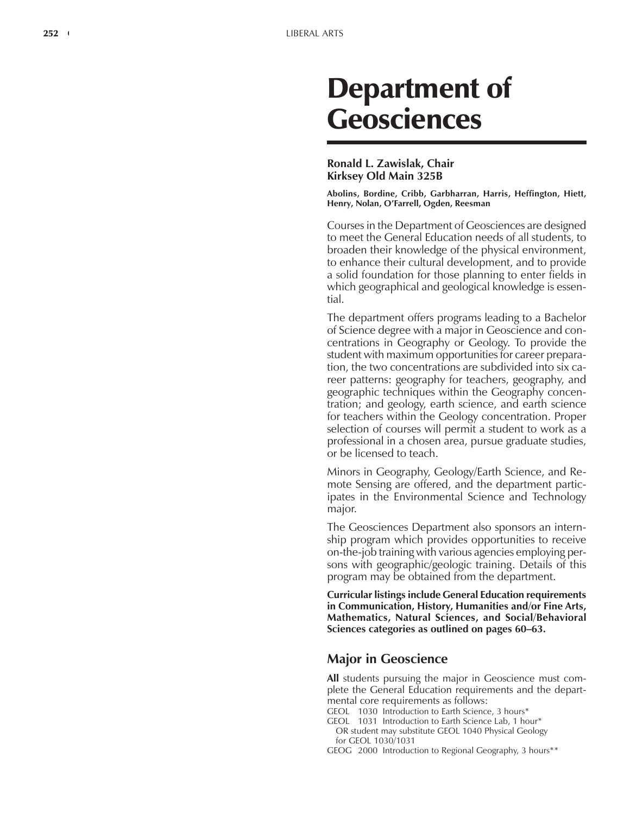# Department of Geosciences

#### **Ronald L. Zawislak, Chair Kirksey Old Main 325B**

**Abolins, Bordine, Cribb, Garbharran, Harris, Heffington, Hiett, Henry, Nolan, OíFarrell, Ogden, Reesman**

Courses in the Department of Geosciences are designed to meet the General Education needs of all students, to broaden their knowledge of the physical environment, to enhance their cultural development, and to provide a solid foundation for those planning to enter fields in which geographical and geological knowledge is essential.

The department offers programs leading to a Bachelor of Science degree with a major in Geoscience and concentrations in Geography or Geology. To provide the student with maximum opportunities for career preparation, the two concentrations are subdivided into six career patterns: geography for teachers, geography, and geographic techniques within the Geography concentration; and geology, earth science, and earth science for teachers within the Geology concentration. Proper selection of courses will permit a student to work as a professional in a chosen area, pursue graduate studies, or be licensed to teach.

Minors in Geography, Geology/Earth Science, and Remote Sensing are offered, and the department participates in the Environmental Science and Technology major.

The Geosciences Department also sponsors an internship program which provides opportunities to receive on-the-job training with various agencies employing persons with geographic/geologic training. Details of this program may be obtained from the department.

**Curricular listings include General Education requirements in Communication, History, Humanities and/or Fine Arts, Mathematics, Natural Sciences, and Social/Behavioral Sciences categories as outlined on pages 60–63.** 

# **Major in Geoscience**

**All** students pursuing the major in Geoscience must complete the General Education requirements and the departmental core requirements as follows:

- GEOL 1030 Introduction to Earth Science, 3 hours\*
- GEOL 1031 Introduction to Earth Science Lab, 1 hour\* OR student may substitute GEOL 1040 Physical Geology for GEOL 1030/1031
- GEOG 2000 Introduction to Regional Geography, 3 hours\*\*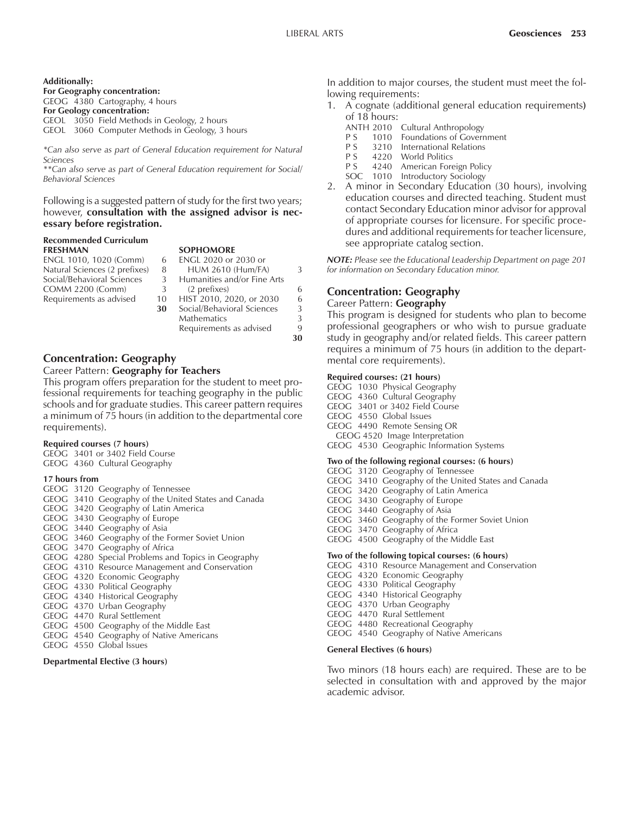#### **Additionally:**

**For Geography concentration:**

GEOG 4380 Cartography, 4 hours

**For Geology concentration:**

GEOL 3050 Field Methods in Geology, 2 hours GEOL 3060 Computer Methods in Geology, 3 hours

*\*Can also serve as part of General Education requirement for Natural Sciences*

*\*\*Can also serve as part of General Education requirement for Social/ Behavioral Sciences*

Following is a suggested pattern of study for the first two years; however, **consultation with the assigned advisor is necessary before registration.**

#### **Recommended Curriculum FRESHMAN SOPHOMORE**

ENGL 1010, 1020 (Comm) Natural Sciences (2 prefixes) 8 Social/Behavioral Sciences COMM 2200 (Comm) Requirements as advised 10

|    | .                           |   |
|----|-----------------------------|---|
| 6  | <b>ENGL 2020 or 2030 or</b> |   |
| 8  | <b>HUM 2610 (Hum/FA)</b>    | 3 |
| 3  | Humanities and/or Fine Arts |   |
| 3  | (2 prefixes)                |   |
| 10 | HIST 2010, 2020, or 2030    | 6 |
| 30 | Social/Behavioral Sciences  | 3 |
|    | Mathematics                 | 3 |
|    | Requirements as advised     | 9 |
|    |                             |   |

### **Concentration: Geography**

#### Career Pattern: **Geography for Teachers**

This program offers preparation for the student to meet professional requirements for teaching geography in the public schools and for graduate studies. This career pattern requires a minimum of 75 hours (in addition to the departmental core requirements).

#### **Required courses (7 hours)**

GEOG 3401 or 3402 Field Course

GEOG 4360 Cultural Geography

#### **17 hours from**

|  | GEOG 3120 Geography of Tennessee                    |
|--|-----------------------------------------------------|
|  | GEOG 3410 Geography of the United States and Canada |
|  | GEOG 3420 Geography of Latin America                |
|  | GEOG 3430 Geography of Europe                       |
|  | GEOG 3440 Geography of Asia                         |
|  | GEOG 3460 Geography of the Former Soviet Union      |
|  | GEOG 3470 Geography of Africa                       |
|  | GEOG 4280 Special Problems and Topics in Geography  |
|  | GEOG 4310 Resource Management and Conservation      |
|  | GEOG 4320 Economic Geography                        |
|  | GEOG 4330 Political Geography                       |
|  | GEOG 4340 Historical Geography                      |
|  | GEOG 4370 Urban Geography                           |
|  | GEOG 4470 Rural Settlement                          |
|  | GEOG 4500 Geography of the Middle East              |
|  | GEOG 4540 Geography of Native Americans             |
|  | GEOG 4550 Global Issues                             |

#### **Departmental Elective (3 hours)**

In addition to major courses, the student must meet the following requirements:

- 1. A cognate (additional general education requirements**)** of 18 hours:
	- ANTH 2010 Cultural Anthropology<br>P S 1010 Foundations of Govern
	- P S 1010 Foundations of Government<br>P S 3210 International Relations
		- **International Relations**
	- P S 4220 World Politics
	- P S 4240 American Foreign Policy
	- SOC 1010 Introductory Sociology
- 2. A minor in Secondary Education (30 hours), involving education courses and directed teaching. Student must contact Secondary Education minor advisor for approval of appropriate courses for licensure. For specific procedures and additional requirements for teacher licensure, see appropriate catalog section.

*NOTE: Please see the Educational Leadership Department on page 201 for information on Secondary Education minor.*

# **Concentration: Geography**

#### Career Pattern: **Geography**

This program is designed for students who plan to become professional geographers or who wish to pursue graduate study in geography and/or related fields. This career pattern requires a minimum of 75 hours (in addition to the departmental core requirements).

#### **Required courses: (21 hours)**

GEOG 1030 Physical Geography GEOG 4360 Cultural Geography GEOG 3401 or 3402 Field Course GEOG 4550 Global Issues GEOG 4490 Remote Sensing OR GEOG 4520 Image Interpretation GEOG 4530 Geographic Information Systems **Two of the following regional courses: (6 hours)**

# GEOG 3120 Geography of Tennessee

- GEOG 3410 Geography of the United States and Canada
- GEOG 3420 Geography of Latin America
- GEOG 3430 Geography of Europe
- GEOG 3440 Geography of Asia
- GEOG 3460 Geography of the Former Soviet Union
- GEOG 3470 Geography of Africa
- GEOG 4500 Geography of the Middle East

#### **Two of the following topical courses: (6 hours)**

- GEOG 4310 Resource Management and Conservation
- GEOG 4320 Economic Geography
- GEOG 4330 Political Geography
- GEOG 4340 Historical Geography
- GEOG 4370 Urban Geography
- GEOG 4470 Rural Settlement
- GEOG 4480 Recreational Geography
- GEOG 4540 Geography of Native Americans

#### **General Electives (6 hours)**

Two minors (18 hours each) are required. These are to be selected in consultation with and approved by the major academic advisor.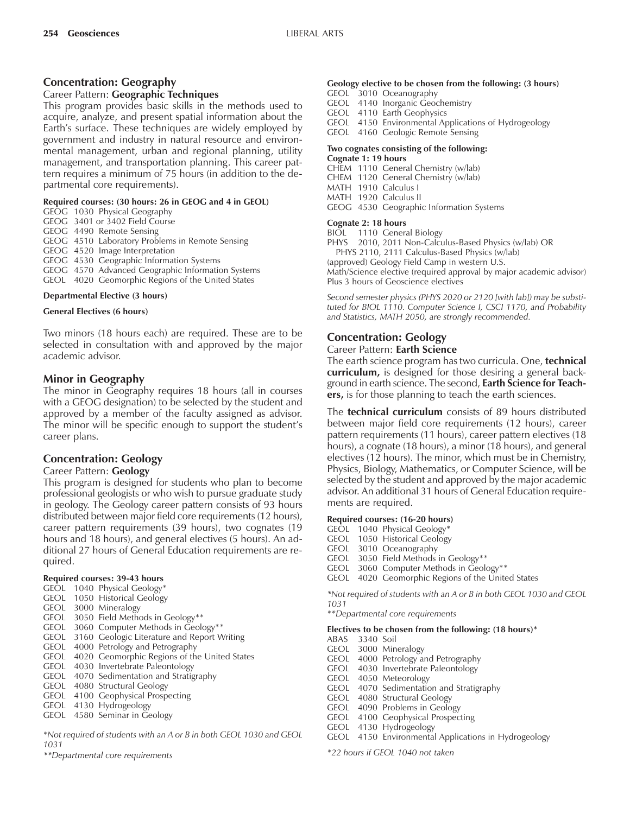# **Concentration: Geography**

#### Career Pattern: **Geographic Techniques**

This program provides basic skills in the methods used to acquire, analyze, and present spatial information about the Earth's surface. These techniques are widely employed by government and industry in natural resource and environmental management, urban and regional planning, utility management, and transportation planning. This career pattern requires a minimum of 75 hours (in addition to the departmental core requirements).

#### **Required courses: (30 hours: 26 in GEOG and 4 in GEOL)**

- GEOG 1030 Physical Geography
- GEOG 3401 or 3402 Field Course

GEOG 4490 Remote Sensing

GEOG 4510 Laboratory Problems in Remote Sensing

GEOG 4520 Image Interpretation

GEOG 4530 Geographic Information Systems

GEOG 4570 Advanced Geographic Information Systems

GEOL 4020 Geomorphic Regions of the United States

#### **Departmental Elective (3 hours)**

#### **General Electives (6 hours)**

Two minors (18 hours each) are required. These are to be selected in consultation with and approved by the major academic advisor.

### **Minor in Geography**

The minor in Geography requires 18 hours (all in courses with a GEOG designation) to be selected by the student and approved by a member of the faculty assigned as advisor. The minor will be specific enough to support the student's career plans.

### **Concentration: Geology**

#### Career Pattern: **Geology**

This program is designed for students who plan to become professional geologists or who wish to pursue graduate study in geology. The Geology career pattern consists of 93 hours distributed between major field core requirements (12 hours), career pattern requirements (39 hours), two cognates (19 hours and 18 hours), and general electives (5 hours). An additional 27 hours of General Education requirements are required.

#### **Required courses: 39-43 hours**

- GEOL 1040 Physical Geology\*
- GEOL 1050 Historical Geology
- GEOL 3000 Mineralogy
- GEOL 3050 Field Methods in Geology\*\*
- GEOL 3060 Computer Methods in Geology\*\*
- GEOL 3160 Geologic Literature and Report Writing
- GEOL 4000 Petrology and Petrography
- GEOL 4020 Geomorphic Regions of the United States
- GEOL 4030 Invertebrate Paleontology
- GEOL 4070 Sedimentation and Stratigraphy
- GEOL 4080 Structural Geology GEOL 4100 Geophysical Prospecting
- GEOL 4130 Hydrogeology
- GEOL 4580 Seminar in Geology

*\*Not required of students with an A or B in both GEOL 1030 and GEOL 1031*

*\*\*Departmental core requirements*

# **Geology elective to be chosen from the following: (3 hours)**

GEOL 3010 Oceanography

GEOL 4140 Inorganic Geochemistry

GEOL 4110 Earth Geophysics

GEOL 4150 Environmental Applications of Hydrogeology

GEOL 4160 Geologic Remote Sensing

#### **Two cognates consisting of the following: Cognate 1: 19 hours**

CHEM 1110 General Chemistry (w/lab)

CHEM 1120 General Chemistry (w/lab)

- MATH 1910 Calculus I
- MATH 1920 Calculus II
- GEOG 4530 Geographic Information Systems

#### **Cognate 2: 18 hours**

BIOL 1110 General Biology

PHYS 2010, 2011 Non-Calculus-Based Physics (w/lab) OR PHYS 2110, 2111 Calculus-Based Physics (w/lab)

(approved) Geology Field Camp in western U.S. Math/Science elective (required approval by major academic advisor) Plus 3 hours of Geoscience electives

*Second semester physics (PHYS 2020 or 2120 [with lab]) may be substituted for BIOL 1110. Computer Science I, CSCI 1170, and Probability and Statistics, MATH 2050, are strongly recommended.*

# **Concentration: Geology**

#### Career Pattern: **Earth Science**

The earth science program has two curricula. One, **technical curriculum,** is designed for those desiring a general background in earth science. The second, **Earth Science for Teachers,** is for those planning to teach the earth sciences.

The **technical curriculum** consists of 89 hours distributed between major field core requirements (12 hours), career pattern requirements (11 hours), career pattern electives (18 hours), a cognate (18 hours), a minor (18 hours), and general electives (12 hours). The minor, which must be in Chemistry, Physics, Biology, Mathematics, or Computer Science, will be selected by the student and approved by the major academic advisor. An additional 31 hours of General Education requirements are required.

### **Required courses: (16-20 hours)**

- GEOL 1040 Physical Geology\*
- GEOL 1050 Historical Geology
- GEOL 3010 Oceanography
- GEOL 3050 Field Methods in Geology\*\*
- GEOL 3060 Computer Methods in Geology\*\*
- GEOL 4020 Geomorphic Regions of the United States

*\*Not required of students with an A or B in both GEOL 1030 and GEOL 1031*

*\*\*Departmental core requirements*

#### **Electives to be chosen from the following: (18 hours)\***

- ABAS 3340 Soil
- GEOL 3000 Mineralogy
- GEOL 4000 Petrology and Petrography
- GEOL 4030 Invertebrate Paleontology
- GEOL 4050 Meteorology
- GEOL 4070 Sedimentation and Stratigraphy
- GEOL 4080 Structural Geology
- GEOL 4090 Problems in Geology
- GEOL 4100 Geophysical Prospecting
- GEOL 4130 Hydrogeology
- GEOL 4150 Environmental Applications in Hydrogeology

*\*22 hours if GEOL 1040 not taken*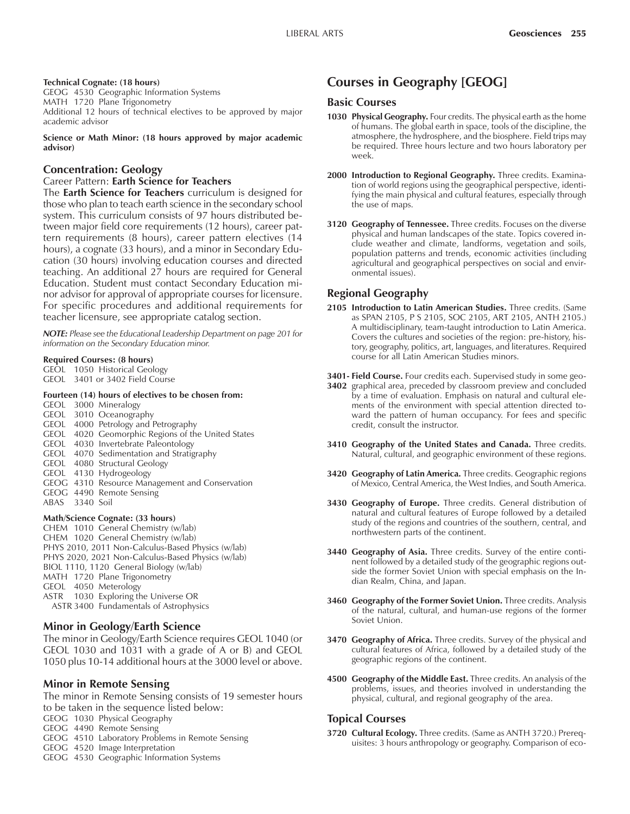#### **Technical Cognate: (18 hours)**

GEOG 4530 Geographic Information Systems MATH 1720 Plane Trigonometry Additional 12 hours of technical electives to be approved by major academic advisor

**Science or Math Minor: (18 hours approved by major academic advisor)**

#### **Concentration: Geology**

Career Pattern: **Earth Science for Teachers**

The **Earth Science for Teachers** curriculum is designed for those who plan to teach earth science in the secondary school system. This curriculum consists of 97 hours distributed between major field core requirements (12 hours), career pattern requirements (8 hours), career pattern electives (14 hours), a cognate (33 hours), and a minor in Secondary Education (30 hours) involving education courses and directed teaching. An additional 27 hours are required for General Education. Student must contact Secondary Education minor advisor for approval of appropriate courses for licensure. For specific procedures and additional requirements for teacher licensure, see appropriate catalog section.

*NOTE: Please see the Educational Leadership Department on page 201 for information on the Secondary Education minor.*

#### **Required Courses: (8 hours)**

| GEOL 1050 Historical Geology   |
|--------------------------------|
| GEOL 3401 or 3402 Field Course |

#### **Fourteen (14) hours of electives to be chosen from:**

GEOL 3000 Mineralogy GEOL 3010 Oceanography GEOL 4000 Petrology and Petrography GEOL 4020 Geomorphic Regions of the United States GEOL 4030 Invertebrate Paleontology GEOL 4070 Sedimentation and Stratigraphy GEOL 4080 Structural Geology GEOL 4130 Hydrogeology GEOG 4310 Resource Management and Conservation GEOG 4490 Remote Sensing ABAS 3340 Soil

#### **Math/Science Cognate: (33 hours)**

CHEM 1010 General Chemistry (w/lab) CHEM 1020 General Chemistry (w/lab) PHYS 2010, 2011 Non-Calculus-Based Physics (w/lab) PHYS 2020, 2021 Non-Calculus-Based Physics (w/lab) BIOL 1110, 1120 General Biology (w/lab) MATH 1720 Plane Trigonometry GEOL 4050 Meterology ASTR 1030 Exploring the Universe OR ASTR 3400 Fundamentals of Astrophysics

#### **Minor in Geology/Earth Science**

The minor in Geology/Earth Science requires GEOL 1040 (or GEOL 1030 and 1031 with a grade of A or B) and GEOL 1050 plus 10-14 additional hours at the 3000 level or above.

#### **Minor in Remote Sensing**

The minor in Remote Sensing consists of 19 semester hours to be taken in the sequence listed below:

GEOG 1030 Physical Geography

GEOG 4490 Remote Sensing

- GEOG 4510 Laboratory Problems in Remote Sensing
- GEOG 4520 Image Interpretation
- GEOG 4530 Geographic Information Systems

# **Courses in Geography [GEOG]**

# **Basic Courses**

- **1030 Physical Geography.** Four credits. The physical earth as the home of humans. The global earth in space, tools of the discipline, the atmosphere, the hydrosphere, and the biosphere. Field trips may be required. Three hours lecture and two hours laboratory per week.
- 2000 Introduction to Regional Geography. Three credits. Examination of world regions using the geographical perspective, identifying the main physical and cultural features, especially through the use of maps.
- **3120 Geography of Tennessee.** Three credits. Focuses on the diverse physical and human landscapes of the state. Topics covered include weather and climate, landforms, vegetation and soils, population patterns and trends, economic activities (including agricultural and geographical perspectives on social and environmental issues).

### **Regional Geography**

- **2105 Introduction to Latin American Studies.** Three credits. (Same as SPAN 2105, P S 2105, SOC 2105, ART 2105, ANTH 2105.) A multidisciplinary, team-taught introduction to Latin America. Covers the cultures and societies of the region: pre-history, history, geography, politics, art, languages, and literatures. Required course for all Latin American Studies minors.
- **3401- Field Course.** Four credits each. Supervised study in some geo-
- **3402** graphical area, preceded by classroom preview and concluded by a time of evaluation. Emphasis on natural and cultural elements of the environment with special attention directed toward the pattern of human occupancy. For fees and specific credit, consult the instructor.
- **3410 Geography of the United States and Canada.** Three credits. Natural, cultural, and geographic environment of these regions.
- **3420 Geography of Latin America.** Three credits. Geographic regions of Mexico, Central America, the West Indies, and South America.
- **3430 Geography of Europe.** Three credits. General distribution of natural and cultural features of Europe followed by a detailed study of the regions and countries of the southern, central, and northwestern parts of the continent.
- **3440 Geography of Asia.** Three credits. Survey of the entire continent followed by a detailed study of the geographic regions outside the former Soviet Union with special emphasis on the Indian Realm, China, and Japan.
- **3460 Geography of the Former Soviet Union.** Three credits. Analysis of the natural, cultural, and human-use regions of the former Soviet Union.
- **3470 Geography of Africa.** Three credits. Survey of the physical and cultural features of Africa, followed by a detailed study of the geographic regions of the continent.
- **4500 Geography of the Middle East.** Three credits. An analysis of the problems, issues, and theories involved in understanding the physical, cultural, and regional geography of the area.

#### **Topical Courses**

**3720 Cultural Ecology.** Three credits. (Same as ANTH 3720.) Prerequisites: 3 hours anthropology or geography. Comparison of eco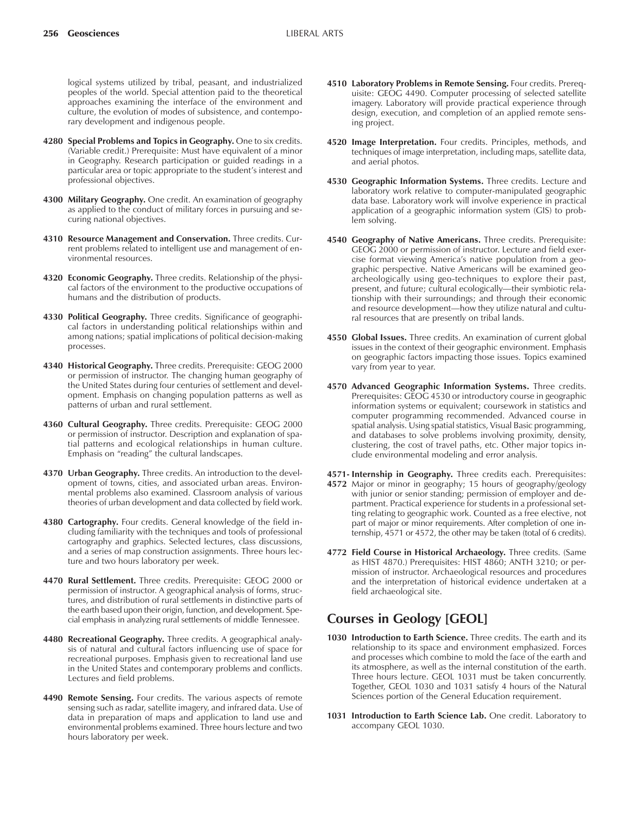logical systems utilized by tribal, peasant, and industrialized peoples of the world. Special attention paid to the theoretical approaches examining the interface of the environment and culture, the evolution of modes of subsistence, and contemporary development and indigenous people.

- **4280 Special Problems and Topics in Geography.** One to six credits. (Variable credit.) Prerequisite: Must have equivalent of a minor in Geography. Research participation or guided readings in a particular area or topic appropriate to the student's interest and professional objectives.
- **4300 Military Geography.** One credit. An examination of geography as applied to the conduct of military forces in pursuing and securing national objectives.
- **4310 Resource Management and Conservation.** Three credits. Current problems related to intelligent use and management of environmental resources.
- **4320 Economic Geography.** Three credits. Relationship of the physical factors of the environment to the productive occupations of humans and the distribution of products.
- **4330 Political Geography.** Three credits. Significance of geographical factors in understanding political relationships within and among nations; spatial implications of political decision-making processes.
- **4340 Historical Geography.** Three credits. Prerequisite: GEOG 2000 or permission of instructor. The changing human geography of the United States during four centuries of settlement and development. Emphasis on changing population patterns as well as patterns of urban and rural settlement.
- **4360 Cultural Geography.** Three credits. Prerequisite: GEOG 2000 or permission of instructor. Description and explanation of spatial patterns and ecological relationships in human culture. Emphasis on "reading" the cultural landscapes.
- **4370 Urban Geography.** Three credits. An introduction to the development of towns, cities, and associated urban areas. Environmental problems also examined. Classroom analysis of various theories of urban development and data collected by field work.
- **4380 Cartography.** Four credits. General knowledge of the field including familiarity with the techniques and tools of professional cartography and graphics. Selected lectures, class discussions, and a series of map construction assignments. Three hours lecture and two hours laboratory per week.
- **4470 Rural Settlement.** Three credits. Prerequisite: GEOG 2000 or permission of instructor. A geographical analysis of forms, structures, and distribution of rural settlements in distinctive parts of the earth based upon their origin, function, and development. Special emphasis in analyzing rural settlements of middle Tennessee.
- **4480 Recreational Geography.** Three credits. A geographical analysis of natural and cultural factors influencing use of space for recreational purposes. Emphasis given to recreational land use in the United States and contemporary problems and conflicts. Lectures and field problems.
- **4490 Remote Sensing.** Four credits. The various aspects of remote sensing such as radar, satellite imagery, and infrared data. Use of data in preparation of maps and application to land use and environmental problems examined. Three hours lecture and two hours laboratory per week.
- **4510 Laboratory Problems in Remote Sensing.** Four credits. Prerequisite: GEOG 4490. Computer processing of selected satellite imagery. Laboratory will provide practical experience through design, execution, and completion of an applied remote sensing project.
- **4520 Image Interpretation.** Four credits. Principles, methods, and techniques of image interpretation, including maps, satellite data, and aerial photos.
- **4530 Geographic Information Systems.** Three credits. Lecture and laboratory work relative to computer-manipulated geographic data base. Laboratory work will involve experience in practical application of a geographic information system (GIS) to problem solving.
- **4540 Geography of Native Americans.** Three credits. Prerequisite: GEOG 2000 or permission of instructor. Lecture and field exercise format viewing America's native population from a geographic perspective. Native Americans will be examined geoarcheologically using geo-techniques to explore their past, present, and future; cultural ecologically—their symbiotic relationship with their surroundings; and through their economic and resource development—how they utilize natural and cultural resources that are presently on tribal lands.
- **4550 Global Issues.** Three credits. An examination of current global issues in the context of their geographic environment. Emphasis on geographic factors impacting those issues. Topics examined vary from year to year.
- **4570 Advanced Geographic Information Systems.** Three credits. Prerequisites: GEOG 4530 or introductory course in geographic information systems or equivalent; coursework in statistics and computer programming recommended. Advanced course in spatial analysis. Using spatial statistics, Visual Basic programming, and databases to solve problems involving proximity, density, clustering, the cost of travel paths, etc. Other major topics include environmental modeling and error analysis.
- **4571- Internship in Geography.** Three credits each. Prerequisites: **4572** Major or minor in geography; 15 hours of geography/geology with junior or senior standing; permission of employer and department. Practical experience for students in a professional setting relating to geographic work. Counted as a free elective, not part of major or minor requirements. After completion of one internship, 4571 or 4572, the other may be taken (total of 6 credits).
- **4772 Field Course in Historical Archaeology.** Three credits. (Same as HIST 4870.) Prerequisites: HIST 4860; ANTH 3210; or permission of instructor. Archaeological resources and procedures and the interpretation of historical evidence undertaken at a field archaeological site.

# **Courses in Geology [GEOL]**

- 1030 Introduction to Earth Science. Three credits. The earth and its relationship to its space and environment emphasized. Forces and processes which combine to mold the face of the earth and its atmosphere, as well as the internal constitution of the earth. Three hours lecture. GEOL 1031 must be taken concurrently. Together, GEOL 1030 and 1031 satisfy 4 hours of the Natural Sciences portion of the General Education requirement.
- **1031 Introduction to Earth Science Lab.** One credit. Laboratory to accompany GEOL 1030.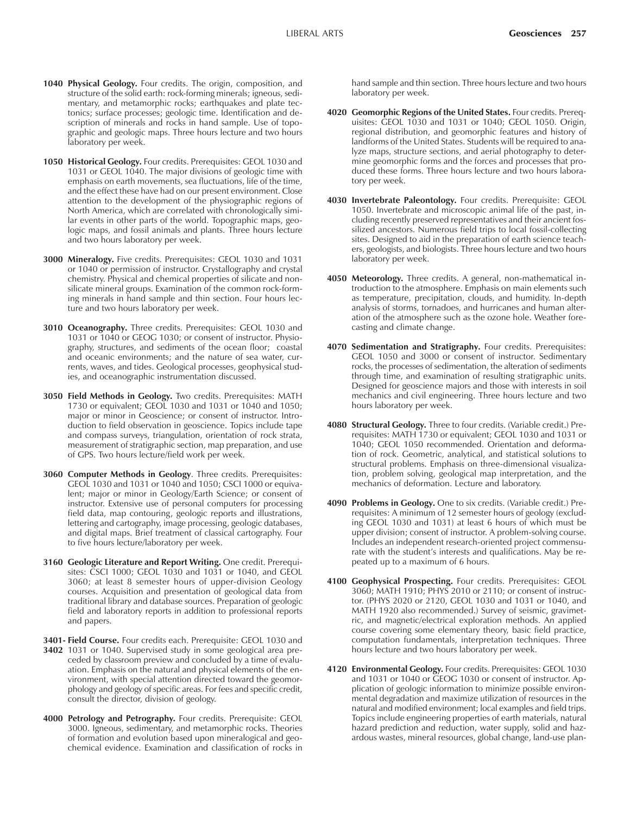- **1040 Physical Geology.** Four credits. The origin, composition, and structure of the solid earth: rock-forming minerals; igneous, sedimentary, and metamorphic rocks; earthquakes and plate tectonics; surface processes; geologic time. Identification and description of minerals and rocks in hand sample. Use of topographic and geologic maps. Three hours lecture and two hours laboratory per week.
- **1050 Historical Geology.** Four credits. Prerequisites: GEOL 1030 and 1031 or GEOL 1040. The major divisions of geologic time with emphasis on earth movements, sea fluctuations, life of the time, and the effect these have had on our present environment. Close attention to the development of the physiographic regions of North America, which are correlated with chronologically similar events in other parts of the world. Topographic maps, geologic maps, and fossil animals and plants. Three hours lecture and two hours laboratory per week.
- **3000 Mineralogy.** Five credits. Prerequisites: GEOL 1030 and 1031 or 1040 or permission of instructor. Crystallography and crystal chemistry. Physical and chemical properties of silicate and nonsilicate mineral groups. Examination of the common rock-forming minerals in hand sample and thin section. Four hours lecture and two hours laboratory per week.
- **3010 Oceanography.** Three credits. Prerequisites: GEOL 1030 and 1031 or 1040 or GEOG 1030; or consent of instructor. Physiography, structures, and sediments of the ocean floor; coastal and oceanic environments; and the nature of sea water, currents, waves, and tides. Geological processes, geophysical studies, and oceanographic instrumentation discussed.
- **3050 Field Methods in Geology.** Two credits. Prerequisites: MATH 1730 or equivalent; GEOL 1030 and 1031 or 1040 and 1050; major or minor in Geoscience; or consent of instructor. Introduction to field observation in geoscience. Topics include tape and compass surveys, triangulation, orientation of rock strata, measurement of stratigraphic section, map preparation, and use of GPS. Two hours lecture/field work per week.
- **3060 Computer Methods in Geology**. Three credits. Prerequisites: GEOL 1030 and 1031 or 1040 and 1050; CSCI 1000 or equivalent; major or minor in Geology/Earth Science; or consent of instructor. Extensive use of personal computers for processing field data, map contouring, geologic reports and illustrations, lettering and cartography, image processing, geologic databases, and digital maps. Brief treatment of classical cartography. Four to five hours lecture/laboratory per week.
- **3160 Geologic Literature and Report Writing.** One credit. Prerequisites: CSCI 1000; GEOL 1030 and 1031 or 1040, and GEOL 3060; at least 8 semester hours of upper-division Geology courses. Acquisition and presentation of geological data from traditional library and database sources. Preparation of geologic field and laboratory reports in addition to professional reports and papers.

**3401- Field Course.** Four credits each. Prerequisite: GEOL 1030 and

- **3402** 1031 or 1040. Supervised study in some geological area preceded by classroom preview and concluded by a time of evaluation. Emphasis on the natural and physical elements of the environment, with special attention directed toward the geomorphology and geology of specific areas. For fees and specific credit, consult the director, division of geology.
- **4000 Petrology and Petrography.** Four credits. Prerequisite: GEOL 3000. Igneous, sedimentary, and metamorphic rocks. Theories of formation and evolution based upon mineralogical and geochemical evidence. Examination and classification of rocks in

hand sample and thin section. Three hours lecture and two hours laboratory per week.

- **4020 Geomorphic Regions of the United States.** Four credits. Prerequisites: GEOL 1030 and 1031 or 1040; GEOL 1050. Origin, regional distribution, and geomorphic features and history of landforms of the United States. Students will be required to analyze maps, structure sections, and aerial photography to determine geomorphic forms and the forces and processes that produced these forms. Three hours lecture and two hours laboratory per week.
- **4030 Invertebrate Paleontology.** Four credits. Prerequisite: GEOL 1050. Invertebrate and microscopic animal life of the past, including recently preserved representatives and their ancient fossilized ancestors. Numerous field trips to local fossil-collecting sites. Designed to aid in the preparation of earth science teachers, geologists, and biologists. Three hours lecture and two hours laboratory per week.
- **4050 Meteorology.** Three credits. A general, non-mathematical introduction to the atmosphere. Emphasis on main elements such as temperature, precipitation, clouds, and humidity. In-depth analysis of storms, tornadoes, and hurricanes and human alteration of the atmosphere such as the ozone hole. Weather forecasting and climate change.
- **4070 Sedimentation and Stratigraphy.** Four credits. Prerequisites: GEOL 1050 and 3000 or consent of instructor. Sedimentary rocks, the processes of sedimentation, the alteration of sediments through time, and examination of resulting stratigraphic units. Designed for geoscience majors and those with interests in soil mechanics and civil engineering. Three hours lecture and two hours laboratory per week.
- **4080 Structural Geology.** Three to four credits. (Variable credit.) Prerequisites: MATH 1730 or equivalent; GEOL 1030 and 1031 or 1040; GEOL 1050 recommended. Orientation and deformation of rock. Geometric, analytical, and statistical solutions to structural problems. Emphasis on three-dimensional visualization, problem solving, geological map interpretation, and the mechanics of deformation. Lecture and laboratory.
- **4090 Problems in Geology.** One to six credits. (Variable credit.) Prerequisites: A minimum of 12 semester hours of geology (excluding GEOL 1030 and 1031) at least 6 hours of which must be upper division; consent of instructor. A problem-solving course. Includes an independent research-oriented project commensurate with the student's interests and qualifications. May be repeated up to a maximum of 6 hours.
- **4100 Geophysical Prospecting.** Four credits. Prerequisites: GEOL 3060; MATH 1910; PHYS 2010 or 2110; or consent of instructor. (PHYS 2020 or 2120, GEOL 1030 and 1031 or 1040, and MATH 1920 also recommended.) Survey of seismic, gravimetric, and magnetic/electrical exploration methods. An applied course covering some elementary theory, basic field practice, computation fundamentals, interpretation techniques. Three hours lecture and two hours laboratory per week.
- **4120 Environmental Geology.** Four credits. Prerequisites: GEOL 1030 and 1031 or 1040 or GEOG 1030 or consent of instructor. Application of geologic information to minimize possible environmental degradation and maximize utilization of resources in the natural and modified environment; local examples and field trips. Topics include engineering properties of earth materials, natural hazard prediction and reduction, water supply, solid and hazardous wastes, mineral resources, global change, land-use plan-